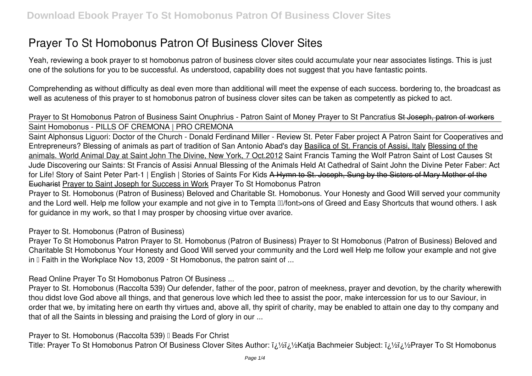# **Prayer To St Homobonus Patron Of Business Clover Sites**

Yeah, reviewing a book **prayer to st homobonus patron of business clover sites** could accumulate your near associates listings. This is just one of the solutions for you to be successful. As understood, capability does not suggest that you have fantastic points.

Comprehending as without difficulty as deal even more than additional will meet the expense of each success. bordering to, the broadcast as well as acuteness of this prayer to st homobonus patron of business clover sites can be taken as competently as picked to act.

# *Prayer to St Homobonus Patron of Business Saint Onuphrius - Patron Saint of Money Prayer to St Pancratius* St Joseph, patron of workers Saint Homobonus - PILLS OF CREMONA | PRO CREMONA

Saint Alphonsus Liguori: Doctor of the Church - Donald Ferdinand Miller - Review St. Peter Faber project A Patron Saint for Cooperatives and Entrepreneurs? *Blessing of animals as part of tradition of San Antonio Abad's day* Basilica of St. Francis of Assisi, Italy Blessing of the animals. World Animal Day at Saint John The Divine, New York, 7 Oct.2012 Saint Francis Taming the Wolf **Patron Saint of Lost Causes St Jude** Discovering our Saints: St Francis of Assisi Annual Blessing of the Animals Held At Cathedral of Saint John the Divine *Peter Faber: Act for Life!* **Story of Saint Peter Part-1 | English | Stories of Saints For Kids** A Hymn to St. Joseph, Sung by the Sisters of Mary Mother of the Eucharist Prayer to Saint Joseph for Success in Work *Prayer To St Homobonus Patron*

Prayer to St. Homobonus (Patron of Business) Beloved and Charitable St. Homobonus. Your Honesty and Good Will served your community and the Lord well. Help me follow your example and not give in to Tempta III/font>ons of Greed and Easy Shortcuts that wound others. I ask for guidance in my work, so that I may prosper by choosing virtue over avarice.

*Prayer to St. Homobonus (Patron of Business)*

Prayer To St Homobonus Patron Prayer to St. Homobonus (Patron of Business) Prayer to St Homobonus (Patron of Business) Beloved and Charitable St Homobonus Your Honesty and Good Will served your community and the Lord well Help me follow your example and not give in  $\mathbb I$  Faith in the Workplace Nov 13, 2009  $\cdot$  St Homobonus, the patron saint of ...

*Read Online Prayer To St Homobonus Patron Of Business ...*

Prayer to St. Homobonus (Raccolta 539) Our defender, father of the poor, patron of meekness, prayer and devotion, by the charity wherewith thou didst love God above all things, and that generous love which led thee to assist the poor, make intercession for us to our Saviour, in order that we, by imitating here on earth thy virtues and, above all, thy spirit of charity, may be enabled to attain one day to thy company and that of all the Saints in blessing and praising the Lord of glory in our ...

**Prayer to St. Homobonus (Raccolta 539) II Beads For Christ** 

Title: Prayer To St Homobonus Patron Of Business Clover Sites Author: *ii/ii/eKatja Bachmeier Subject: ii/<sup>y</sup>i/ePrayer To St Homobonus*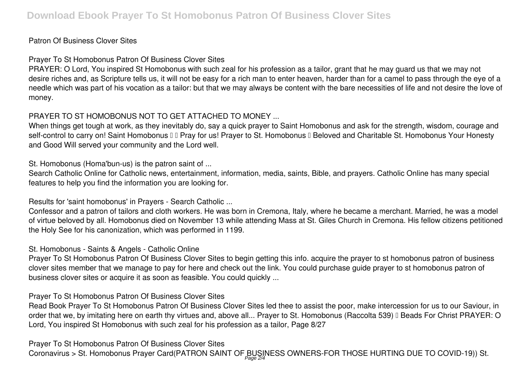#### Patron Of Business Clover Sites

#### *Prayer To St Homobonus Patron Of Business Clover Sites*

PRAYER: O Lord, You inspired St Homobonus with such zeal for his profession as a tailor, grant that he may guard us that we may not desire riches and, as Scripture tells us, it will not be easy for a rich man to enter heaven, harder than for a camel to pass through the eye of a needle which was part of his vocation as a tailor: but that we may always be content with the bare necessities of life and not desire the love of money.

# *PRAYER TO ST HOMOBONUS NOT TO GET ATTACHED TO MONEY ...*

When things get tough at work, as they inevitably do, say a quick prayer to Saint Homobonus and ask for the strength, wisdom, courage and self-control to carry on! Saint Homobonus  $\Box$  Pray for us! Prayer to St. Homobonus  $\Box$  Beloved and Charitable St. Homobonus Your Honesty and Good Will served your community and the Lord well.

*St. Homobonus (Homa'bun-us) is the patron saint of ...*

Search Catholic Online for Catholic news, entertainment, information, media, saints, Bible, and prayers. Catholic Online has many special features to help you find the information you are looking for.

*Results for 'saint homobonus' in Prayers - Search Catholic ...*

Confessor and a patron of tailors and cloth workers. He was born in Cremona, Italy, where he became a merchant. Married, he was a model of virtue beloved by all. Homobonus died on November 13 while attending Mass at St. Giles Church in Cremona. His fellow citizens petitioned the Holy See for his canonization, which was performed in 1199.

#### *St. Homobonus - Saints & Angels - Catholic Online*

Prayer To St Homobonus Patron Of Business Clover Sites to begin getting this info. acquire the prayer to st homobonus patron of business clover sites member that we manage to pay for here and check out the link. You could purchase guide prayer to st homobonus patron of business clover sites or acquire it as soon as feasible. You could quickly ...

### *Prayer To St Homobonus Patron Of Business Clover Sites*

Read Book Prayer To St Homobonus Patron Of Business Clover Sites led thee to assist the poor, make intercession for us to our Saviour, in order that we, by imitating here on earth thy virtues and, above all... Prayer to St. Homobonus (Raccolta 539) I Beads For Christ PRAYER: O Lord, You inspired St Homobonus with such zeal for his profession as a tailor, Page 8/27

*Prayer To St Homobonus Patron Of Business Clover Sites* Coronavirus > St. Homobonus Prayer Card(PATRON SAINT OF BUSINESS OWNERS-FOR THOSE HURTING DUE TO COVID-19)) St.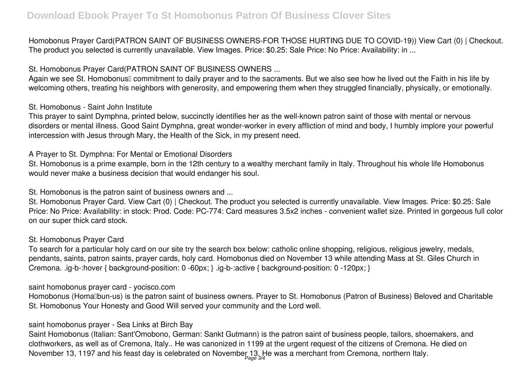Homobonus Prayer Card(PATRON SAINT OF BUSINESS OWNERS-FOR THOSE HURTING DUE TO COVID-19)) View Cart (0) | Checkout. The product you selected is currently unavailable. View Images. Price: \$0.25: Sale Price: No Price: Availability: in ...

# *St. Homobonus Prayer Card(PATRON SAINT OF BUSINESS OWNERS ...*

Again we see St. Homobonus<sup>'</sup> commitment to daily prayer and to the sacraments. But we also see how he lived out the Faith in his life by welcoming others, treating his neighbors with generosity, and empowering them when they struggled financially, physically, or emotionally,

#### *St. Homobonus - Saint John Institute*

This prayer to saint Dymphna, printed below, succinctly identifies her as the well-known patron saint of those with mental or nervous disorders or mental illness. Good Saint Dymphna, great wonder-worker in every affliction of mind and body, I humbly implore your powerful intercession with Jesus through Mary, the Health of the Sick, in my present need.

# *A Prayer to St. Dymphna: For Mental or Emotional Disorders*

St. Homobonus is a prime example, born in the 12th century to a wealthy merchant family in Italy. Throughout his whole life Homobonus would never make a business decision that would endanger his soul.

*St. Homobonus is the patron saint of business owners and ...*

St. Homobonus Prayer Card. View Cart (0) | Checkout. The product you selected is currently unavailable. View Images. Price: \$0.25: Sale Price: No Price: Availability: in stock: Prod. Code: PC-774: Card measures 3.5x2 inches - convenient wallet size. Printed in gorgeous full color on our super thick card stock.

### *St. Homobonus Prayer Card*

To search for a particular holy card on our site try the search box below: catholic online shopping, religious, religious jewelry, medals, pendants, saints, patron saints, prayer cards, holy card. Homobonus died on November 13 while attending Mass at St. Giles Church in Cremona. .ig-b-:hover { background-position: 0 -60px; } .ig-b-:active { background-position: 0 -120px; }

#### *saint homobonus prayer card - yocisco.com*

Homobonus (Homalbun-us) is the patron saint of business owners. Prayer to St. Homobonus (Patron of Business) Beloved and Charitable St. Homobonus Your Honesty and Good Will served your community and the Lord well.

# *saint homobonus prayer - Sea Links at Birch Bay*

Saint Homobonus (Italian: Sant'Omobono, German: Sankt Gutmann) is the patron saint of business people, tailors, shoemakers, and clothworkers, as well as of Cremona, Italy.. He was canonized in 1199 at the urgent request of the citizens of Cremona. He died on November 13, 1197 and his feast day is celebrated on November 13. He was a merchant from Cremona, northern Italy.